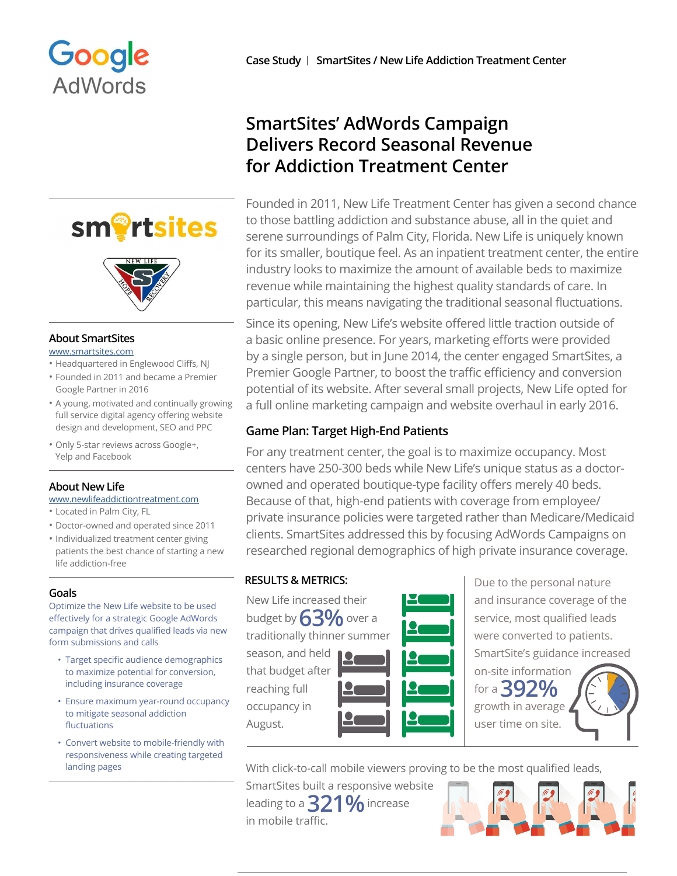

# sm<sup>o</sup>rtsites



### **About SmartSites**

[www.smartsites.com](http://www.smartsites.com)

- Headquartered in Englewood Cliffs, NJ
- Founded in 2011 and became a Premier Google Partner in 2016
- A young, motivated and continually growing full service digital agency offering website design and development, SEO and PPC
- Only 5-star reviews across Google+, Yelp and Facebook

# **About New Life**

[www.newlifeaddictiontreatment.com](http://www.newlifeaddictiontreatment.com)

- Located in Palm City, FL
- Doctor-owned and operated since 2011
- Individualized treatment center giving patients the best chance of starting a new life addiction-free

# **Goals**

Optimize the New Life website to be used effectively for a strategic Google AdWords campaign that drives qualified leads via new form submissions and calls

- Target specific audience demographics to maximize potential for conversion, including insurance coverage
- Ensure maximum year-round occupancy to mitigate seasonal addiction fluctuations
- Convert website to mobile-friendly with responsiveness while creating targeted landing pages

# **SmartSites' AdWords Campaign Delivers Record Seasonal Revenue for Addiction Treatment Center**

Founded in 2011, New Life Treatment Center has given a second chance to those battling addiction and substance abuse, all in the quiet and serene surroundings of Palm City, Florida. New Life is uniquely known for its smaller, boutique feel. As an inpatient treatment center, the entire industry looks to maximize the amount of available beds to maximize revenue while maintaining the highest quality standards of care. In particular, this means navigating the traditional seasonal fluctuations.

Since its opening, New Life's website offered little traction outside of a basic online presence. For years, marketing efforts were provided by a single person, but in June 2014, the center engaged SmartSites, a Premier Google Partner, to boost the traffic efficiency and conversion potential of its website. After several small projects, New Life opted for a full online marketing campaign and website overhaul in early 2016.

# **Game Plan: Target High-End Patients**

For any treatment center, the goal is to maximize occupancy. Most centers have 250-300 beds while New Life's unique status as a doctorowned and operated boutique-type facility offers merely 40 beds. Because of that, high-end patients with coverage from employee/ private insurance policies were targeted rather than Medicare/Medicaid clients. SmartSites addressed this by focusing AdWords Campaigns on researched regional demographics of high private insurance coverage.

New Life increased their budget by **63%** over a traditionally thinner summer season, and held that budget after

reaching full occupancy in August.



**RESULTS & METRICS:**  $\vert$  Due to the personal nature and insurance coverage of the service, most qualified leads were converted to patients. SmartSite's guidance increased

on-site information for a **392%** growth in average user time on site.

With click-to-call mobile viewers proving to be the most qualified leads,

SmartSites built a responsive website leading to a **321%** increase in mobile traffic.